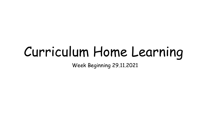# Curriculum Home Learning

Week Beginning 29.11.2021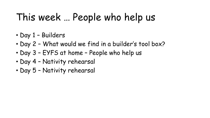## This week … People who help us

- Day 1 Builders
- Day 2 What would we find in a builder's tool box?
- Day 3 EYFS at home People who help us
- Day 4 Nativity rehearsal
- Day 5 Nativity rehearsal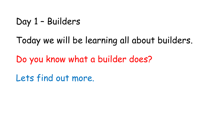Day 1 – Builders

Today we will be learning all about builders.

Do you know what a builder does?

Lets find out more.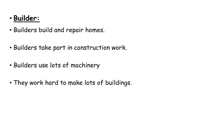#### • **Builder:**

- Builders build and repair homes.
- Builders take part in construction work.
- Builders use lots of machinery
- They work hard to make lots of buildings.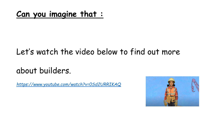#### **Can you imagine that :**

#### Let's watch the video below to find out more

#### about builders.

*<https://www.youtube.com/watch?v=0Sd2URRIKAQ>*

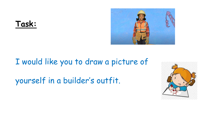



#### I would like you to draw a picture of

yourself in a builder's outfit.

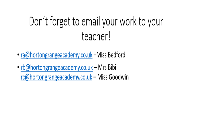# Don't forget to email your work to your teacher!

- ra@hortongrangeacademy.co.uk -Miss Bedford
- rb@hortongrangeacademy.co.uk Mrs Bibi rc@hortongrangeacademy.co.uk - Miss Goodwin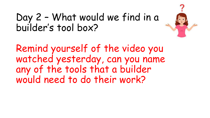

### Day 2 – What would we find in a builder's tool box?

Remind yourself of the video you watched yesterday, can you name any of the tools that a builder would need to do their work?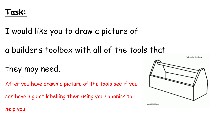

I would like you to draw a picture of

a builder's toolbox with all of the tools that

they may need.

After you have drawn a picture of the tools see if you

can have a go at labelling them using your phonics to



help you.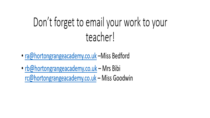# Don't forget to email your work to your teacher!

- ra@hortongrangeacademy.co.uk –Miss Bedford
- rb@hortongrangeacademy.co.uk Mrs Bibi rc@hortongrangeacademy.co.uk - Miss Goodwin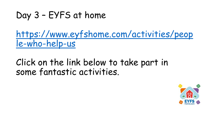## Day 3 – EYFS at home

[https://www.eyfshome.com/activities/peop](https://www.eyfshome.com/activities/people-who-help-us) le-who-help-us

### Click on the link below to take part in some fantastic activities.